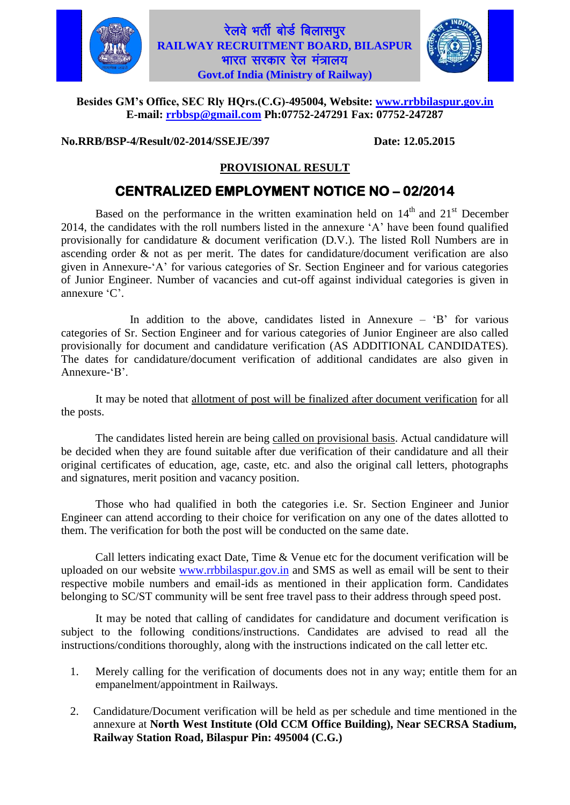

### रेलवे भर्ती बोर्ड बिलासपुर **RAILWAY RECRUITMENT BOARD, BILASPUR** भारत सरकार रेल मंत्रालय $\overline{\mathbf{a}}$ **Govt.of India (Ministry of Railway)**



#### **Besides GM's Office, SEC Rly HQrs.(C.G)-495004, Website: [www.rrbbilaspur.gov.in](http://www.rrbbilaspur.gov.in/)  E-mail: [rrbbsp@gmail.com](mailto:rrbbsp@gmail.com) Ph:07752-247291 Fax: 07752-247287**

**No.RRB/BSP-4/Result/02-2014/SSEJE/397 Date: 12.05.2015**

### **PROVISIONAL RESULT**

# **CENTRALIZED EMPLOYMENT NOTICE NO – 02/2014**

Based on the performance in the written examination held on  $14<sup>th</sup>$  and  $21<sup>st</sup>$  December 2014, the candidates with the roll numbers listed in the annexure 'A' have been found qualified provisionally for candidature & document verification (D.V.). The listed Roll Numbers are in ascending order & not as per merit. The dates for candidature/document verification are also given in Annexure-'A' for various categories of Sr. Section Engineer and for various categories of Junior Engineer. Number of vacancies and cut-off against individual categories is given in annexure 'C'.

In addition to the above, candidates listed in Annexure  $B$ <sup> $\prime$ </sup> for various categories of Sr. Section Engineer and for various categories of Junior Engineer are also called provisionally for document and candidature verification (AS ADDITIONAL CANDIDATES). The dates for candidature/document verification of additional candidates are also given in Annexure-'B'.

It may be noted that allotment of post will be finalized after document verification for all the posts.

The candidates listed herein are being called on provisional basis. Actual candidature will be decided when they are found suitable after due verification of their candidature and all their original certificates of education, age, caste, etc. and also the original call letters, photographs and signatures, merit position and vacancy position.

Those who had qualified in both the categories i.e. Sr. Section Engineer and Junior Engineer can attend according to their choice for verification on any one of the dates allotted to them. The verification for both the post will be conducted on the same date.

Call letters indicating exact Date, Time & Venue etc for the document verification will be uploaded on our website [www.rrbbilaspur.gov.in](http://www.rrbbilaspur.gov.in/) and SMS as well as email will be sent to their respective mobile numbers and email-ids as mentioned in their application form. Candidates belonging to SC/ST community will be sent free travel pass to their address through speed post.

It may be noted that calling of candidates for candidature and document verification is subject to the following conditions/instructions. Candidates are advised to read all the instructions/conditions thoroughly, along with the instructions indicated on the call letter etc.

- 1. Merely calling for the verification of documents does not in any way; entitle them for an empanelment/appointment in Railways.
- 2. Candidature/Document verification will be held as per schedule and time mentioned in the annexure at **North West Institute (Old CCM Office Building), Near SECRSA Stadium, Railway Station Road, Bilaspur Pin: 495004 (C.G.)**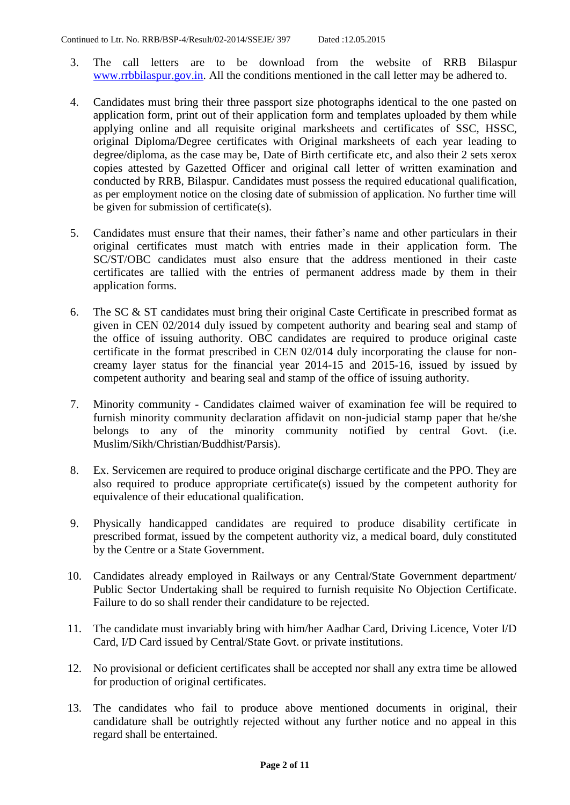- 3. The call letters are to be download from the website of RRB Bilaspur [www.rrbbilaspur.gov.in.](http://www.rrbbilaspur.gov.in/) All the conditions mentioned in the call letter may be adhered to.
- 4. Candidates must bring their three passport size photographs identical to the one pasted on application form, print out of their application form and templates uploaded by them while applying online and all requisite original marksheets and certificates of SSC, HSSC, original Diploma/Degree certificates with Original marksheets of each year leading to degree/diploma, as the case may be, Date of Birth certificate etc, and also their 2 sets xerox copies attested by Gazetted Officer and original call letter of written examination and conducted by RRB, Bilaspur. Candidates must possess the required educational qualification, as per employment notice on the closing date of submission of application. No further time will be given for submission of certificate(s).
- 5. Candidates must ensure that their names, their father's name and other particulars in their original certificates must match with entries made in their application form. The SC/ST/OBC candidates must also ensure that the address mentioned in their caste certificates are tallied with the entries of permanent address made by them in their application forms.
- 6. The SC & ST candidates must bring their original Caste Certificate in prescribed format as given in CEN 02/2014 duly issued by competent authority and bearing seal and stamp of the office of issuing authority. OBC candidates are required to produce original caste certificate in the format prescribed in CEN 02/014 duly incorporating the clause for noncreamy layer status for the financial year 2014-15 and 2015-16, issued by issued by competent authority and bearing seal and stamp of the office of issuing authority.
- 7. Minority community Candidates claimed waiver of examination fee will be required to furnish minority community declaration affidavit on non-judicial stamp paper that he/she belongs to any of the minority community notified by central Govt. (i.e. Muslim/Sikh/Christian/Buddhist/Parsis).
- 8. Ex. Servicemen are required to produce original discharge certificate and the PPO. They are also required to produce appropriate certificate(s) issued by the competent authority for equivalence of their educational qualification.
- 9. Physically handicapped candidates are required to produce disability certificate in prescribed format, issued by the competent authority viz, a medical board, duly constituted by the Centre or a State Government.
- 10. Candidates already employed in Railways or any Central/State Government department/ Public Sector Undertaking shall be required to furnish requisite No Objection Certificate. Failure to do so shall render their candidature to be rejected.
- 11. The candidate must invariably bring with him/her Aadhar Card, Driving Licence, Voter I/D Card, I/D Card issued by Central/State Govt. or private institutions.
- 12. No provisional or deficient certificates shall be accepted nor shall any extra time be allowed for production of original certificates.
- 13. The candidates who fail to produce above mentioned documents in original, their candidature shall be outrightly rejected without any further notice and no appeal in this regard shall be entertained.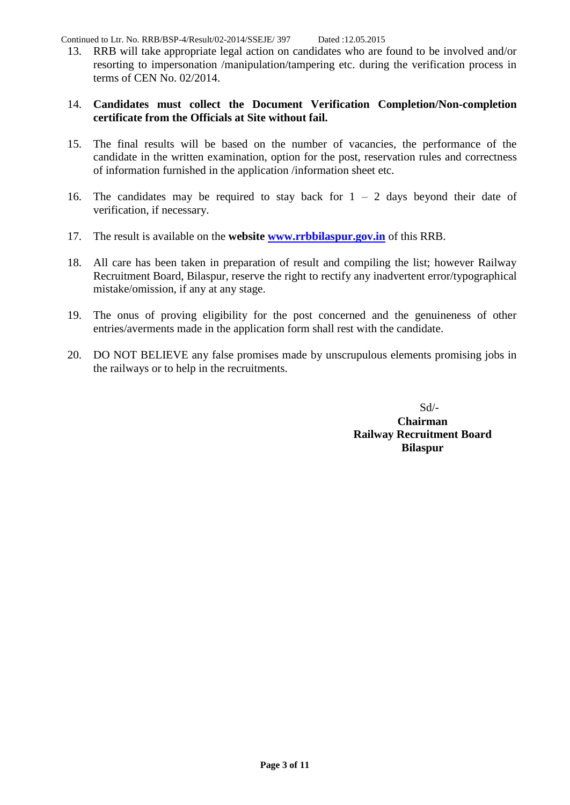Continued to Ltr. No. RRB/BSP-4/Result/02-2014/SSEJE/ 397 Dated :12.05.2015

13. RRB will take appropriate legal action on candidates who are found to be involved and/or resorting to impersonation /manipulation/tampering etc. during the verification process in terms of CEN No. 02/2014.

#### 14. **Candidates must collect the Document Verification Completion/Non-completion certificate from the Officials at Site without fail.**

- 15. The final results will be based on the number of vacancies, the performance of the candidate in the written examination, option for the post, reservation rules and correctness of information furnished in the application /information sheet etc.
- 16. The candidates may be required to stay back for  $1 2$  days beyond their date of verification, if necessary.
- 17. The result is available on the **website [www.rrbbilaspur.gov.in](http://www.rrbbilaspur.gov.in/)** of this RRB.
- 18. All care has been taken in preparation of result and compiling the list; however Railway Recruitment Board, Bilaspur, reserve the right to rectify any inadvertent error/typographical mistake/omission, if any at any stage.
- 19. The onus of proving eligibility for the post concerned and the genuineness of other entries/averments made in the application form shall rest with the candidate.
- 20. DO NOT BELIEVE any false promises made by unscrupulous elements promising jobs in the railways or to help in the recruitments.

 $Sd$ <sup>-</sup> **Chairman Railway Recruitment Board Bilaspur**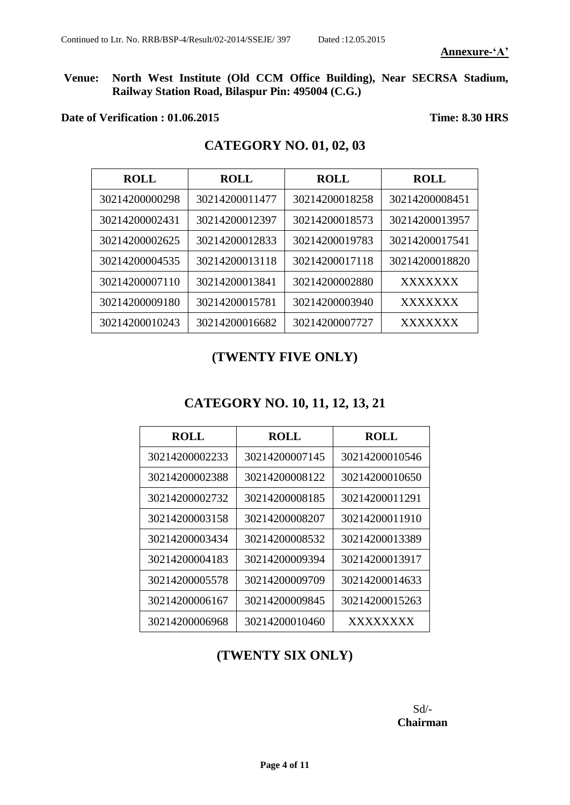**Venue: North West Institute (Old CCM Office Building), Near SECRSA Stadium, Railway Station Road, Bilaspur Pin: 495004 (C.G.)**

#### **Date of Verification : 01.06.2015 Time: 8.30 HRS**

# **CATEGORY NO. 01, 02, 03**

| <b>ROLL</b>    | <b>ROLL</b>    | <b>ROLL</b>    | <b>ROLL</b>    |
|----------------|----------------|----------------|----------------|
| 30214200000298 | 30214200011477 | 30214200018258 | 30214200008451 |
| 30214200002431 | 30214200012397 | 30214200018573 | 30214200013957 |
| 30214200002625 | 30214200012833 | 30214200019783 | 30214200017541 |
| 30214200004535 | 30214200013118 | 30214200017118 | 30214200018820 |
| 30214200007110 | 30214200013841 | 30214200002880 | <b>XXXXXXX</b> |
| 30214200009180 | 30214200015781 | 30214200003940 | <b>XXXXXXX</b> |
| 30214200010243 | 30214200016682 | 30214200007727 | <b>XXXXXXX</b> |

# **(TWENTY FIVE ONLY)**

## **CATEGORY NO. 10, 11, 12, 13, 21**

| <b>ROLL</b>    | <b>ROLL</b>    | <b>ROLL</b>    |
|----------------|----------------|----------------|
| 30214200002233 | 30214200007145 | 30214200010546 |
| 30214200002388 | 30214200008122 | 30214200010650 |
| 30214200002732 | 30214200008185 | 30214200011291 |
| 30214200003158 | 30214200008207 | 30214200011910 |
| 30214200003434 | 30214200008532 | 30214200013389 |
| 30214200004183 | 30214200009394 | 30214200013917 |
| 30214200005578 | 30214200009709 | 30214200014633 |
| 30214200006167 | 30214200009845 | 30214200015263 |
| 30214200006968 | 30214200010460 | XXXXXXXX       |

### **(TWENTY SIX ONLY)**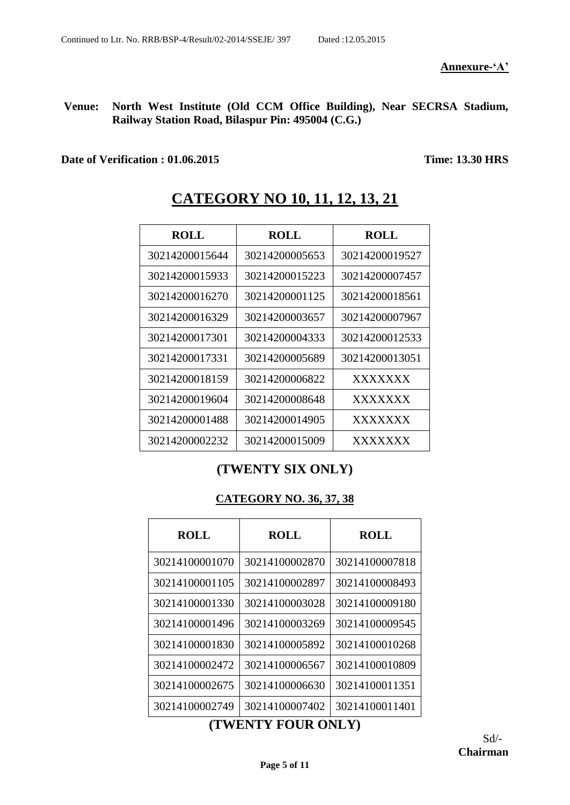**Venue: North West Institute (Old CCM Office Building), Near SECRSA Stadium, Railway Station Road, Bilaspur Pin: 495004 (C.G.)**

**Date of Verification : 01.06.2015 Time: 13.30 HRS**

**ROLL ROLL ROLL** 30214200005653 30214200019527 30214200015223 30214200007457 30214200001125 30214200018561 30214200003657 30214200007967 30214200004333 30214200012533 30214200005689 30214200013051 30214200006822 XXXXXXX 30214200008648 XXXXXXX 30214200014905 XXXXXXX 30214200015009 XXXXXXX

# **CATEGORY NO 10, 11, 12, 13, 21**

# **(TWENTY SIX ONLY)**

#### **CATEGORY NO. 36, 37, 38**

| <b>ROLL</b>    | <b>ROLL</b>    | <b>ROLL</b>    |
|----------------|----------------|----------------|
| 30214100001070 | 30214100002870 | 30214100007818 |
| 30214100001105 | 30214100002897 | 30214100008493 |
| 30214100001330 | 30214100003028 | 30214100009180 |
| 30214100001496 | 30214100003269 | 30214100009545 |
| 30214100001830 | 30214100005892 | 30214100010268 |
| 30214100002472 | 30214100006567 | 30214100010809 |
| 30214100002675 | 30214100006630 | 30214100011351 |
| 30214100002749 | 30214100007402 | 30214100011401 |

#### **(TWENTY FOUR ONLY)**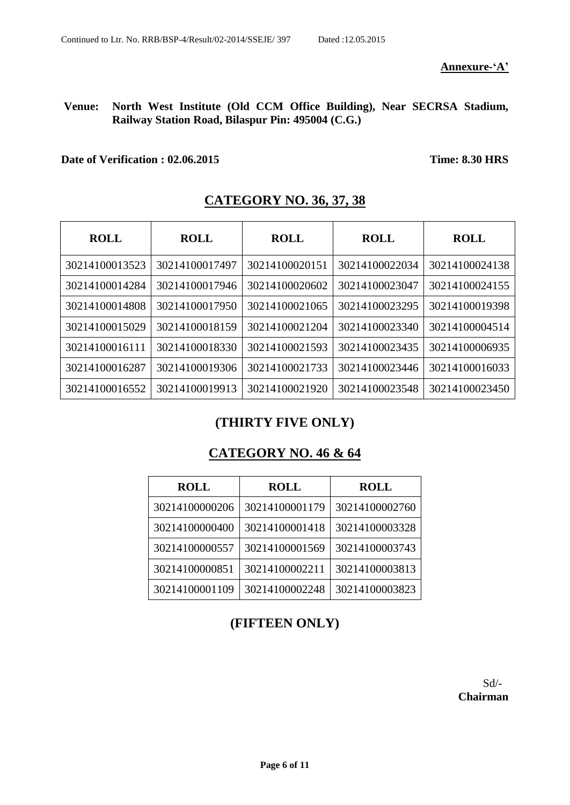**Annexure-'A'**

#### **Venue: North West Institute (Old CCM Office Building), Near SECRSA Stadium, Railway Station Road, Bilaspur Pin: 495004 (C.G.)**

#### **Date of Verification : 02.06.2015 Time: 8.30 HRS**

| <b>ROLL</b>    | <b>ROLL</b>    | <b>ROLL</b>    | <b>ROLL</b>    | <b>ROLL</b>    |
|----------------|----------------|----------------|----------------|----------------|
| 30214100013523 | 30214100017497 | 30214100020151 | 30214100022034 | 30214100024138 |
| 30214100014284 | 30214100017946 | 30214100020602 | 30214100023047 | 30214100024155 |
| 30214100014808 | 30214100017950 | 30214100021065 | 30214100023295 | 30214100019398 |
| 30214100015029 | 30214100018159 | 30214100021204 | 30214100023340 | 30214100004514 |
| 30214100016111 | 30214100018330 | 30214100021593 | 30214100023435 | 30214100006935 |
| 30214100016287 | 30214100019306 | 30214100021733 | 30214100023446 | 30214100016033 |
| 30214100016552 | 30214100019913 | 30214100021920 | 30214100023548 | 30214100023450 |

# **CATEGORY NO. 36, 37, 38**

#### **(THIRTY FIVE ONLY)**

#### **CATEGORY NO. 46 & 64**

| <b>ROLL</b>    | <b>ROLL</b>    | <b>ROLL</b>    |
|----------------|----------------|----------------|
| 30214100000206 | 30214100001179 | 30214100002760 |
| 30214100000400 | 30214100001418 | 30214100003328 |
| 30214100000557 | 30214100001569 | 30214100003743 |
| 30214100000851 | 30214100002211 | 30214100003813 |
| 30214100001109 | 30214100002248 | 30214100003823 |

# **(FIFTEEN ONLY)**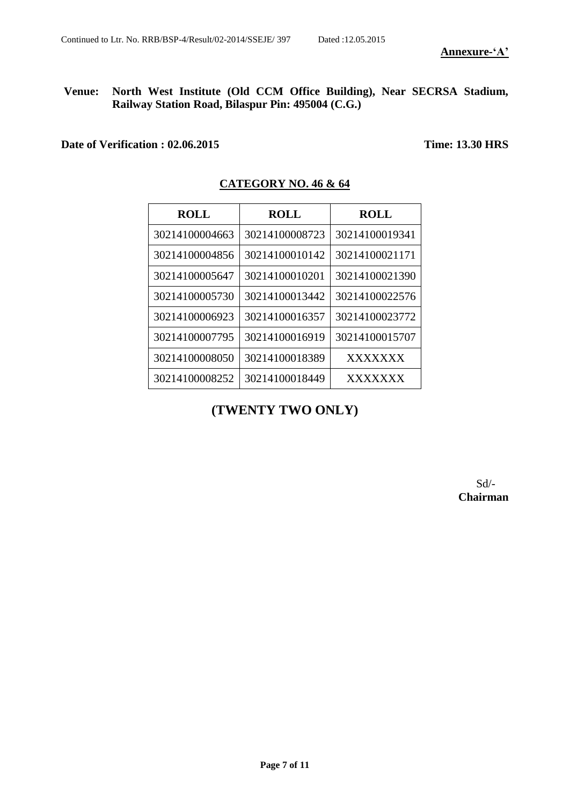#### **Venue: North West Institute (Old CCM Office Building), Near SECRSA Stadium, Railway Station Road, Bilaspur Pin: 495004 (C.G.)**

**Date of Verification : 02.06.2015 Time: 13.30 HRS**

| <b>ROLL</b>    | <b>ROLL</b>    | <b>ROLL</b>    |
|----------------|----------------|----------------|
| 30214100004663 | 30214100008723 | 30214100019341 |
| 30214100004856 | 30214100010142 | 30214100021171 |
| 30214100005647 | 30214100010201 | 30214100021390 |
| 30214100005730 | 30214100013442 | 30214100022576 |
| 30214100006923 | 30214100016357 | 30214100023772 |
| 30214100007795 | 30214100016919 | 30214100015707 |
| 30214100008050 | 30214100018389 | XXXXXXX        |
| 30214100008252 | 30214100018449 | <b>XXXXXXX</b> |

#### **CATEGORY NO. 46 & 64**

**(TWENTY TWO ONLY)**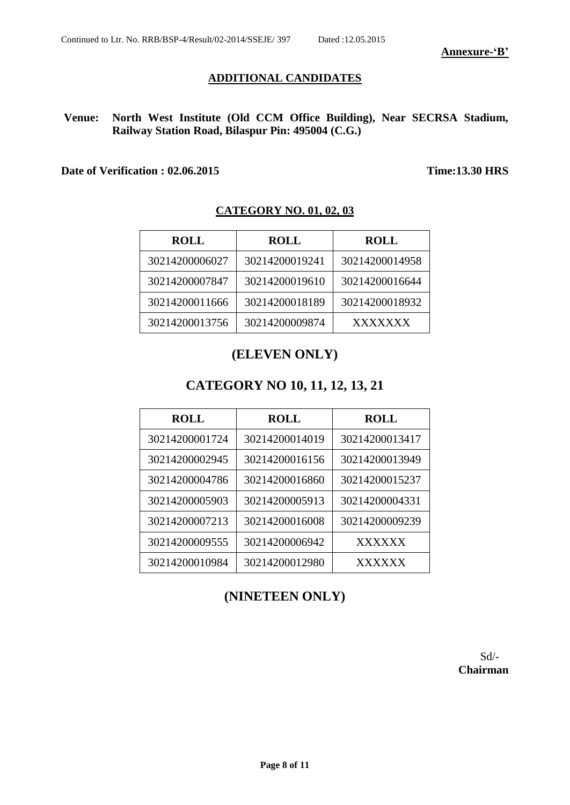#### **Annexure-'B'**

#### **ADDITIONAL CANDIDATES**

**Venue: North West Institute (Old CCM Office Building), Near SECRSA Stadium, Railway Station Road, Bilaspur Pin: 495004 (C.G.)**

#### **Date of Verification : 02.06.2015 Time:13.30 HRS**

#### **CATEGORY NO. 01, 02, 03**

| <b>ROLL</b>    | <b>ROLL</b>    | <b>ROLL</b>    |
|----------------|----------------|----------------|
| 30214200006027 | 30214200019241 | 30214200014958 |
| 30214200007847 | 30214200019610 | 30214200016644 |
| 30214200011666 | 30214200018189 | 30214200018932 |
| 30214200013756 | 30214200009874 | <b>XXXXXXX</b> |

#### **(ELEVEN ONLY)**

#### **CATEGORY NO 10, 11, 12, 13, 21**

| <b>ROLL</b>    | <b>ROLL</b>    | <b>ROLL</b>    |
|----------------|----------------|----------------|
| 30214200001724 | 30214200014019 | 30214200013417 |
| 30214200002945 | 30214200016156 | 30214200013949 |
| 30214200004786 | 30214200016860 | 30214200015237 |
| 30214200005903 | 30214200005913 | 30214200004331 |
| 30214200007213 | 30214200016008 | 30214200009239 |
| 30214200009555 | 30214200006942 | XXXXXX         |
| 30214200010984 | 30214200012980 | <b>XXXXXX</b>  |

#### **(NINETEEN ONLY)**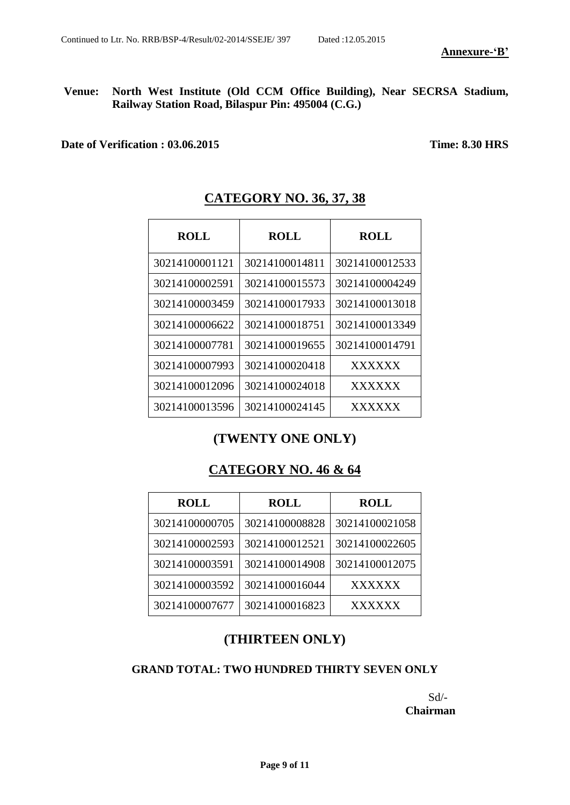**Annexure-'B'**

**Venue: North West Institute (Old CCM Office Building), Near SECRSA Stadium, Railway Station Road, Bilaspur Pin: 495004 (C.G.)**

**Date of Verification : 03.06.2015 Time: 8.30 HRS**

| <b>ROLL</b>    | <b>ROLL</b>    | ROLL           |
|----------------|----------------|----------------|
| 30214100001121 | 30214100014811 | 30214100012533 |
| 30214100002591 | 30214100015573 | 30214100004249 |
| 30214100003459 | 30214100017933 | 30214100013018 |
| 30214100006622 | 30214100018751 | 30214100013349 |
| 30214100007781 | 30214100019655 | 30214100014791 |
| 30214100007993 | 30214100020418 | <b>XXXXXX</b>  |
| 30214100012096 | 30214100024018 | <b>XXXXXX</b>  |
| 30214100013596 | 30214100024145 | XXXXXX         |

# **CATEGORY NO. 36, 37, 38**

#### **(TWENTY ONE ONLY)**

#### **CATEGORY NO. 46 & 64**

| <b>ROLL</b>    | <b>ROLL</b>    | <b>ROLL</b>    |
|----------------|----------------|----------------|
| 30214100000705 | 30214100008828 | 30214100021058 |
| 30214100002593 | 30214100012521 | 30214100022605 |
| 30214100003591 | 30214100014908 | 30214100012075 |
| 30214100003592 | 30214100016044 | <b>XXXXXX</b>  |
| 30214100007677 | 30214100016823 | <b>XXXXXX</b>  |

#### **(THIRTEEN ONLY)**

#### **GRAND TOTAL: TWO HUNDRED THIRTY SEVEN ONLY**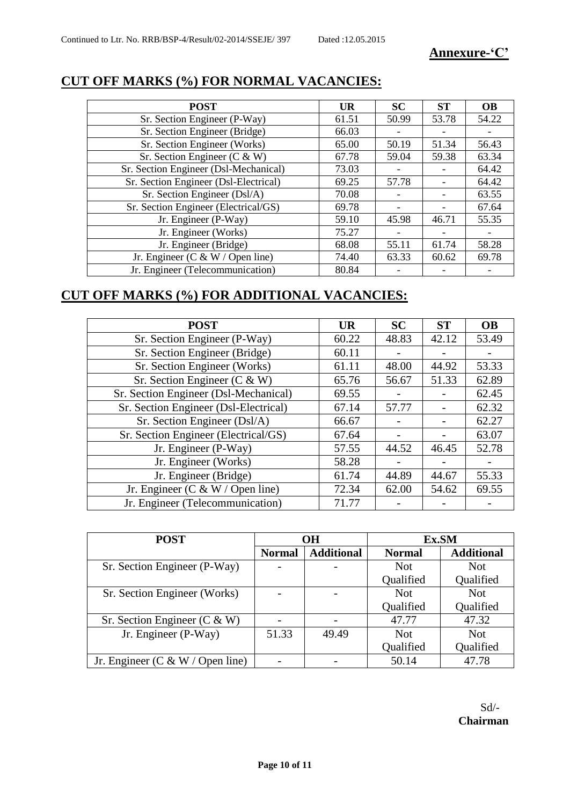#### **Annexure-'C'**

| <b>POST</b>                           | <b>UR</b> | SC    | <b>ST</b> | <b>OB</b> |
|---------------------------------------|-----------|-------|-----------|-----------|
| Sr. Section Engineer (P-Way)          | 61.51     | 50.99 | 53.78     | 54.22     |
| Sr. Section Engineer (Bridge)         | 66.03     |       |           |           |
| Sr. Section Engineer (Works)          | 65.00     | 50.19 | 51.34     | 56.43     |
| Sr. Section Engineer ( $C & W$ )      | 67.78     | 59.04 | 59.38     | 63.34     |
| Sr. Section Engineer (Dsl-Mechanical) | 73.03     |       |           | 64.42     |
| Sr. Section Engineer (Dsl-Electrical) | 69.25     | 57.78 |           | 64.42     |
| Sr. Section Engineer (Dsl/A)          | 70.08     |       |           | 63.55     |
| Sr. Section Engineer (Electrical/GS)  | 69.78     |       |           | 67.64     |
| Jr. Engineer (P-Way)                  | 59.10     | 45.98 | 46.71     | 55.35     |
| Jr. Engineer (Works)                  | 75.27     |       |           |           |
| Jr. Engineer (Bridge)                 | 68.08     | 55.11 | 61.74     | 58.28     |
| Jr. Engineer (C & W / Open line)      | 74.40     | 63.33 | 60.62     | 69.78     |
| Jr. Engineer (Telecommunication)      | 80.84     |       |           |           |

# **CUT OFF MARKS (%) FOR NORMAL VACANCIES:**

# **CUT OFF MARKS (%) FOR ADDITIONAL VACANCIES:**

| <b>POST</b>                           | <b>UR</b> | SC    | <b>ST</b> | <b>OB</b>                |
|---------------------------------------|-----------|-------|-----------|--------------------------|
| Sr. Section Engineer (P-Way)          | 60.22     | 48.83 | 42.12     | 53.49                    |
| Sr. Section Engineer (Bridge)         | 60.11     |       |           |                          |
| Sr. Section Engineer (Works)          | 61.11     | 48.00 | 44.92     | 53.33                    |
| Sr. Section Engineer ( $C & W$ )      | 65.76     | 56.67 | 51.33     | 62.89                    |
| Sr. Section Engineer (Dsl-Mechanical) | 69.55     |       |           | 62.45                    |
| Sr. Section Engineer (Dsl-Electrical) | 67.14     | 57.77 |           | 62.32                    |
| Sr. Section Engineer (Dsl/A)          | 66.67     |       |           | 62.27                    |
| Sr. Section Engineer (Electrical/GS)  | 67.64     |       |           | 63.07                    |
| Jr. Engineer (P-Way)                  | 57.55     | 44.52 | 46.45     | 52.78                    |
| Jr. Engineer (Works)                  | 58.28     |       |           | $\overline{\phantom{0}}$ |
| Jr. Engineer (Bridge)                 | 61.74     | 44.89 | 44.67     | 55.33                    |
| Jr. Engineer (C & W / Open line)      | 72.34     | 62.00 | 54.62     | 69.55                    |
| Jr. Engineer (Telecommunication)      | 71.77     |       |           |                          |

| <b>POST</b>                      |               | <b>OH</b>         | Ex.SM         |                   |  |  |
|----------------------------------|---------------|-------------------|---------------|-------------------|--|--|
|                                  | <b>Normal</b> | <b>Additional</b> | <b>Normal</b> | <b>Additional</b> |  |  |
| Sr. Section Engineer (P-Way)     |               |                   | <b>Not</b>    | <b>Not</b>        |  |  |
|                                  |               |                   | Qualified     | Qualified         |  |  |
| Sr. Section Engineer (Works)     |               |                   | <b>Not</b>    | <b>Not</b>        |  |  |
|                                  |               |                   | Qualified     | Qualified         |  |  |
| Sr. Section Engineer ( $C & W$ ) |               |                   | 47.77         | 47.32             |  |  |
| Jr. Engineer (P-Way)             | 51.33         | 49.49             | <b>Not</b>    | <b>Not</b>        |  |  |
|                                  |               |                   | Qualified     | Qualified         |  |  |
| Jr. Engineer (C & W / Open line) |               |                   | 50.14         | 47.78             |  |  |